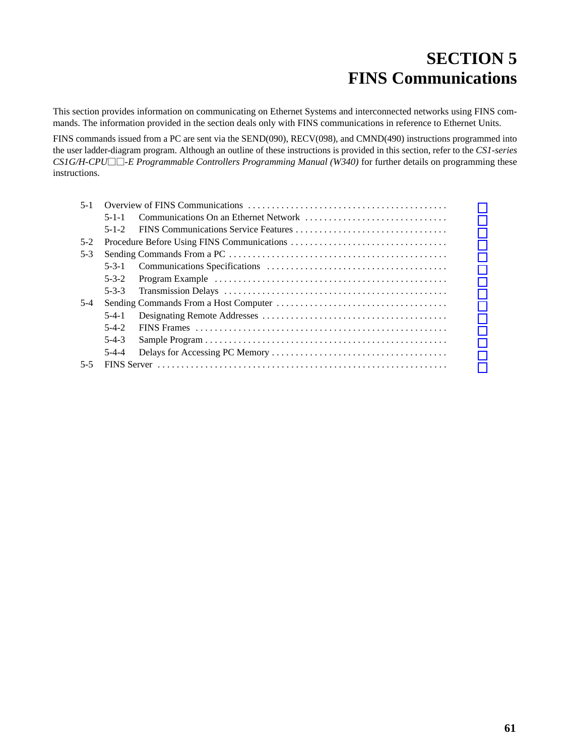# **SECTION 5 FINS Communications**

<span id="page-0-0"></span>This section provides information on communicating on Ethernet Systems and interconnected networks using FINS commands. The information provided in the section deals only with FINS communications in reference to Ethernet Units.

FINS commands issued from a PC are sent via the SEND(090), RECV(098), and CMND(490) instructions programmed into the user ladder-diagram program. Although an outline of these instructions is provided in this section, refer to the *CS1-series CS1G/H-CPU-E Programmable Controllers Programming Manual (W340)* for further details on programming these instructions.

| $5 - 1$ |             |  |  |  |  |  |  |
|---------|-------------|--|--|--|--|--|--|
|         | $5 - 1 - 1$ |  |  |  |  |  |  |
|         | $5 - 1 - 2$ |  |  |  |  |  |  |
| $5-2$   |             |  |  |  |  |  |  |
| $5-3$   |             |  |  |  |  |  |  |
|         | $5 - 3 - 1$ |  |  |  |  |  |  |
|         | $5 - 3 - 2$ |  |  |  |  |  |  |
|         | $5 - 3 - 3$ |  |  |  |  |  |  |
| $5-4$   |             |  |  |  |  |  |  |
|         | $5-4-1$     |  |  |  |  |  |  |
|         | $5-4-2$     |  |  |  |  |  |  |
|         | $5-4-3$     |  |  |  |  |  |  |
|         | $5-4-4$     |  |  |  |  |  |  |
| $5 - 5$ |             |  |  |  |  |  |  |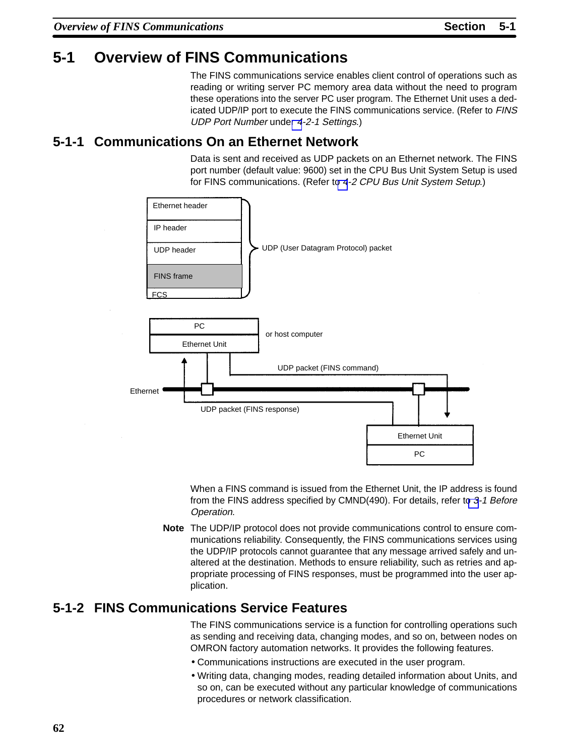# <span id="page-1-0"></span>**5-1 Overview of FINS Communications**

The FINS communications service enables client control of operations such as reading or writing server PC memory area data without the need to program these operations into the server PC user program. The Ethernet Unit uses a dedicated UDP/IP port to execute the FINS communications service. (Refer to FINS UDP Port Number unde[r](#page-3-0) 4-2-1 Settings.)

## **5-1-1 Communications On an Ethernet Network**

Data is sent and received as UDP packets on an Ethernet network. The FINS port number (default value: 9600) set in the CPU Bus Unit System Setup is used for FINS communications. (Refer to [4](#page-2-0)-2 CPU Bus Unit System Setup.)



When a FINS command is issued from the Ethernet Unit, the IP address is found from the FINS address specified by CMND(490). For details, refer to 3-1 Before Operation.

**Note** The UDP/IP protocol does not provide communications control to ensure communications reliability. Consequently, the FINS communications services using the UDP/IP protocols cannot guarantee that any message arrived safely and unaltered at the destination. Methods to ensure reliability, such as retries and appropriate processing of FINS responses, must be programmed into the user application.

# **5-1-2 FINS Communications Service Features**

The FINS communications service is a function for controlling operations such as sending and receiving data, changing modes, and so on, between nodes on OMRON factory automation networks. It provides the following features.

- Communications instructions are executed in the user program.
- Writing data, changing modes, reading detailed information about Units, and so on, can be executed without any particular knowledge of communications procedures or network classification.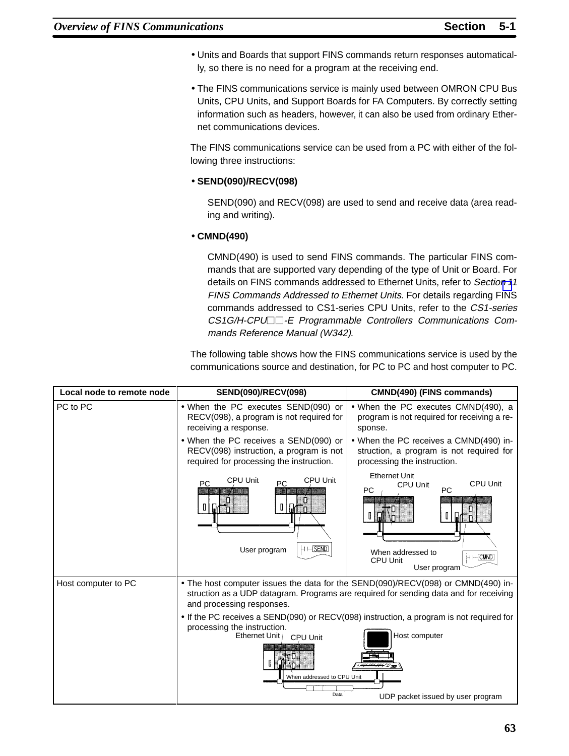- <span id="page-2-0"></span>• Units and Boards that support FINS commands return responses automatically, so there is no need for a program at the receiving end.
- The FINS communications service is mainly used between OMRON CPU Bus Units, CPU Units, and Support Boards for FA Computers. By correctly setting information such as headers, however, it can also be used from ordinary Ethernet communications devices.

The FINS communications service can be used from a PC with either of the following three instructions:

## • **SEND(090)/RECV(098)**

SEND(090) and RECV(098) are used to send and receive data (area reading and writing).

## • **CMND(490)**

CMND(490) is used to send FINS commands. The particular FINS commands that are supported vary depending of the type of Unit or Board. For details on FINS commands addressed to Ethernet Units, refer to Section [1](#page-0-0)1 FINS Commands Addressed to Ethernet Units. For details regarding FINS commands addressed to CS1-series CPU Units, refer to the CS1-series CS1G/H-CPU<sup>-</sup>E Programmable Controllers Communications Commands Reference Manual (W342).

The following table shows how the FINS communications service is used by the communications source and destination, for PC to PC and host computer to PC.

| Local node to remote node | SEND(090)/RECV(098)                                                                                                                                                                                                     | CMND(490) (FINS commands)                                                                                                                                                                                                       |  |  |
|---------------------------|-------------------------------------------------------------------------------------------------------------------------------------------------------------------------------------------------------------------------|---------------------------------------------------------------------------------------------------------------------------------------------------------------------------------------------------------------------------------|--|--|
| PC to PC                  | • When the PC executes SEND(090) or<br>RECV(098), a program is not required for<br>receiving a response.                                                                                                                | • When the PC executes CMND(490), a<br>program is not required for receiving a re-<br>sponse.                                                                                                                                   |  |  |
|                           | • When the PC receives a SEND(090) or<br>RECV(098) instruction, a program is not<br>required for processing the instruction.                                                                                            | • When the PC receives a CMND(490) in-<br>struction, a program is not required for<br>processing the instruction.                                                                                                               |  |  |
|                           | <b>CPU Unit</b><br><b>CPU Unit</b><br><b>PC</b><br><b>PC</b><br>0<br>$\mathbb I$<br>ា<br>$H \mapsto$ SEND<br>User program                                                                                               | <b>Ethernet Unit</b><br>CPU Unit<br><b>CPU Unit</b><br><b>PC</b><br><b>PC</b><br>$\mathbb I$<br>∵n.<br>When addressed to<br>НН CMMD<br>CPU Unit<br>User program                                                                 |  |  |
| Host computer to PC       | and processing responses.<br>• If the PC receives a SEND(090) or RECV(098) instruction, a program is not required for<br>processing the instruction.<br>Ethernet Unit<br>CPU Unit<br>When addressed to CPU Unit<br>Data | • The host computer issues the data for the SEND(090)/RECV(098) or CMND(490) in-<br>struction as a UDP datagram. Programs are required for sending data and for receiving<br>Host computer<br>UDP packet issued by user program |  |  |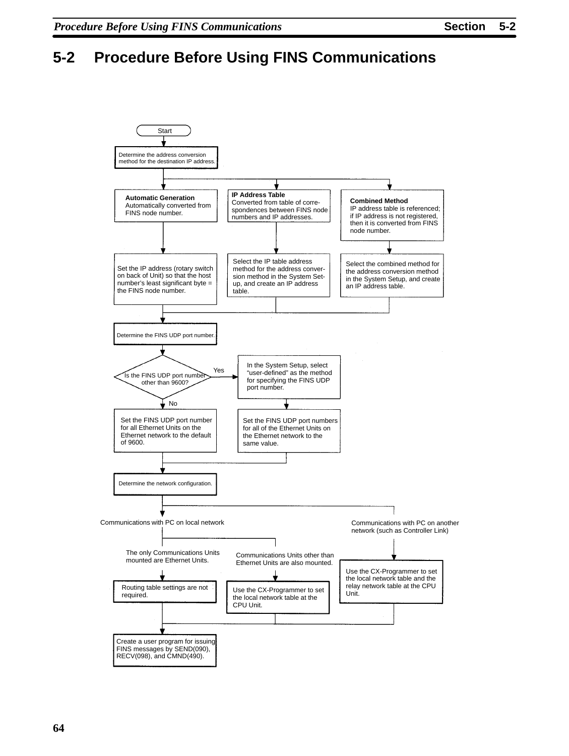# <span id="page-3-0"></span>**5-2 Procedure Before Using FINS Communications**

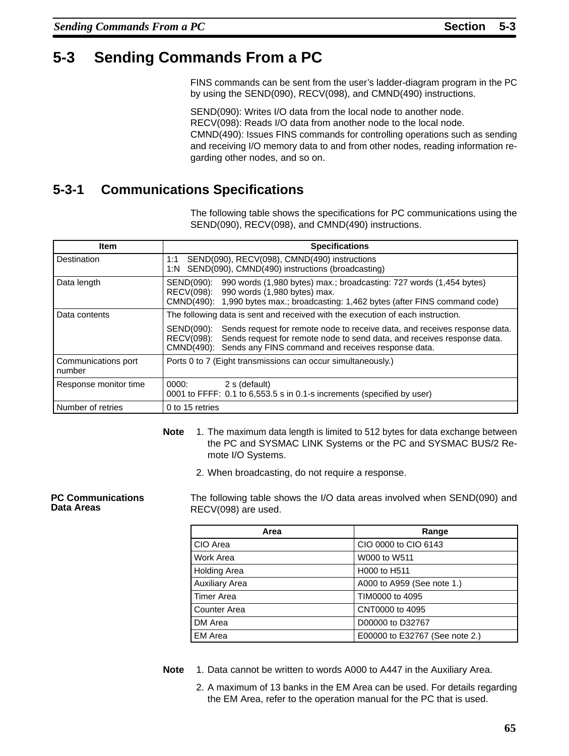# <span id="page-4-0"></span>**5-3 Sending Commands From a PC**

FINS commands can be sent from the user's ladder-diagram program in the PC by using the SEND(090), RECV(098), and CMND(490) instructions.

SEND(090): Writes I/O data from the local node to another node. RECV(098): Reads I/O data from another node to the local node. CMND(490): Issues FINS commands for controlling operations such as sending and receiving I/O memory data to and from other nodes, reading information regarding other nodes, and so on.

# **5-3-1 Communications Specifications**

The following table shows the specifications for PC communications using the SEND(090), RECV(098), and CMND(490) instructions.

| ltem                          | <b>Specifications</b>                                                                                                                                                                                                                           |  |  |  |  |
|-------------------------------|-------------------------------------------------------------------------------------------------------------------------------------------------------------------------------------------------------------------------------------------------|--|--|--|--|
| Destination                   | SEND(090), RECV(098), CMND(490) instructions<br>1:1<br>1:N SEND(090), CMND(490) instructions (broadcasting)                                                                                                                                     |  |  |  |  |
| Data length                   | 990 words (1,980 bytes) max.; broadcasting: 727 words (1,454 bytes)<br>SEND(090):<br>RECV(098): 990 words (1,980 bytes) max.<br>CMND(490): 1,990 bytes max.; broadcasting: 1,462 bytes (after FINS command code)                                |  |  |  |  |
| Data contents                 | The following data is sent and received with the execution of each instruction.                                                                                                                                                                 |  |  |  |  |
|                               | Sends request for remote node to receive data, and receives response data.<br>SEND(090):<br>RECV(098): Sends request for remote node to send data, and receives response data.<br>CMND(490): Sends any FINS command and receives response data. |  |  |  |  |
| Communications port<br>number | Ports 0 to 7 (Eight transmissions can occur simultaneously.)                                                                                                                                                                                    |  |  |  |  |
| Response monitor time         | 0000:<br>2 s (default)<br>0001 to FFFF: 0.1 to 6,553.5 s in 0.1-s increments (specified by user)                                                                                                                                                |  |  |  |  |
| Number of retries             | 0 to 15 retries                                                                                                                                                                                                                                 |  |  |  |  |

- **Note** 1. The maximum data length is limited to 512 bytes for data exchange between the PC and SYSMAC LINK Systems or the PC and SYSMAC BUS/2 Remote I/O Systems.
	- 2. When broadcasting, do not require a response.

**PC Communications Data Areas**

The following table shows the I/O data areas involved when SEND(090) and RECV(098) are used.

| Area                  | Range                          |
|-----------------------|--------------------------------|
| CIO Area              | CIO 0000 to CIO 6143           |
| Work Area             | W000 to W511                   |
| <b>Holding Area</b>   | H000 to H511                   |
| <b>Auxiliary Area</b> | A000 to A959 (See note 1.)     |
| <b>Timer Area</b>     | TIM0000 to 4095                |
| Counter Area          | CNT0000 to 4095                |
| DM Area               | D00000 to D32767               |
| <b>EM Area</b>        | E00000 to E32767 (See note 2.) |

**Note** 1. Data cannot be written to words A000 to A447 in the Auxiliary Area.

2. A maximum of 13 banks in the EM Area can be used. For details regarding the EM Area, refer to the operation manual for the PC that is used.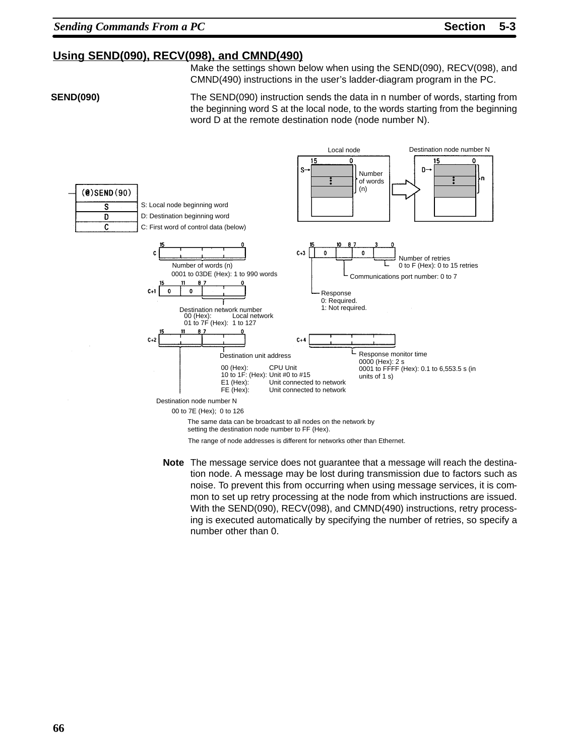Destination node number N

## **Using SEND(090), RECV(098), and CMND(490)**

Make the settings shown below when using the SEND(090), RECV(098), and CMND(490) instructions in the user's ladder-diagram program in the PC.

**SEND(090)**

The SEND(090) instruction sends the data in n number of words, starting from the beginning word S at the local node, to the words starting from the beginning word D at the remote destination node (node number N).

Local node



The range of node addresses is different for networks other than Ethernet.

**Note** The message service does not guarantee that a message will reach the destination node. A message may be lost during transmission due to factors such as noise. To prevent this from occurring when using message services, it is common to set up retry processing at the node from which instructions are issued. With the SEND(090), RECV(098), and CMND(490) instructions, retry processing is executed automatically by specifying the number of retries, so specify a number other than 0.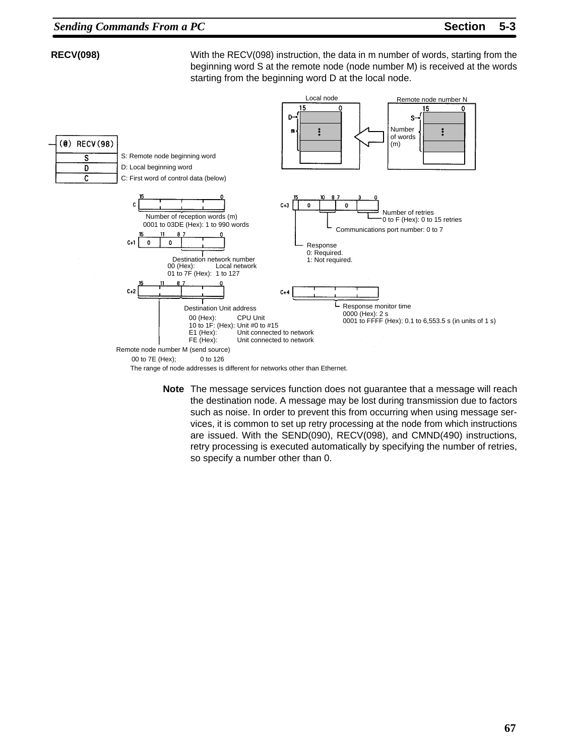## **RECV(098)**

With the RECV(098) instruction, the data in m number of words, starting from the beginning word S at the remote node (node number M) is received at the words starting from the beginning word D at the local node.



**Note** The message services function does not guarantee that a message will reach the destination node. A message may be lost during transmission due to factors such as noise. In order to prevent this from occurring when using message services, it is common to set up retry processing at the node from which instructions are issued. With the SEND(090), RECV(098), and CMND(490) instructions, retry processing is executed automatically by specifying the number of retries, so specify a number other than 0.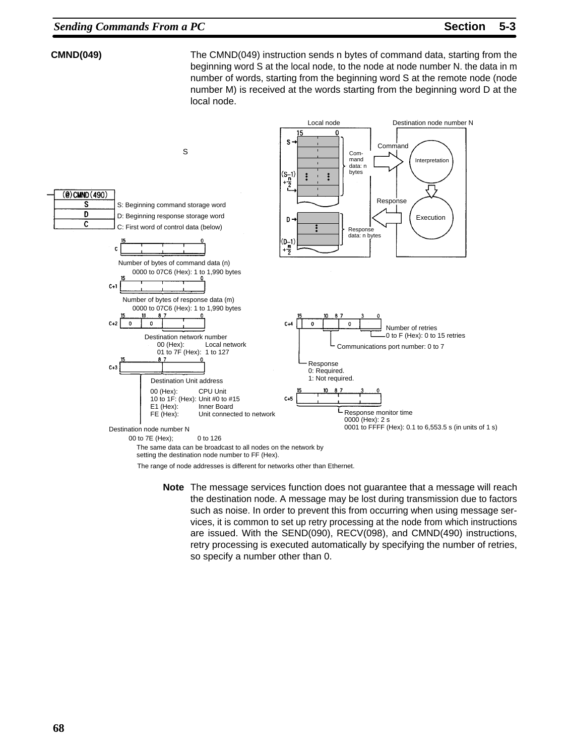## **CMND(049)**

The CMND(049) instruction sends n bytes of command data, starting from the beginning word S at the local node, to the node at node number N. the data in m number of words, starting from the beginning word S at the remote node (node number M) is received at the words starting from the beginning word D at the local node.



setting the destination node number to FF (Hex).

The range of node addresses is different for networks other than Ethernet.

**Note** The message services function does not guarantee that a message will reach the destination node. A message may be lost during transmission due to factors such as noise. In order to prevent this from occurring when using message services, it is common to set up retry processing at the node from which instructions are issued. With the SEND(090), RECV(098), and CMND(490) instructions, retry processing is executed automatically by specifying the number of retries, so specify a number other than 0.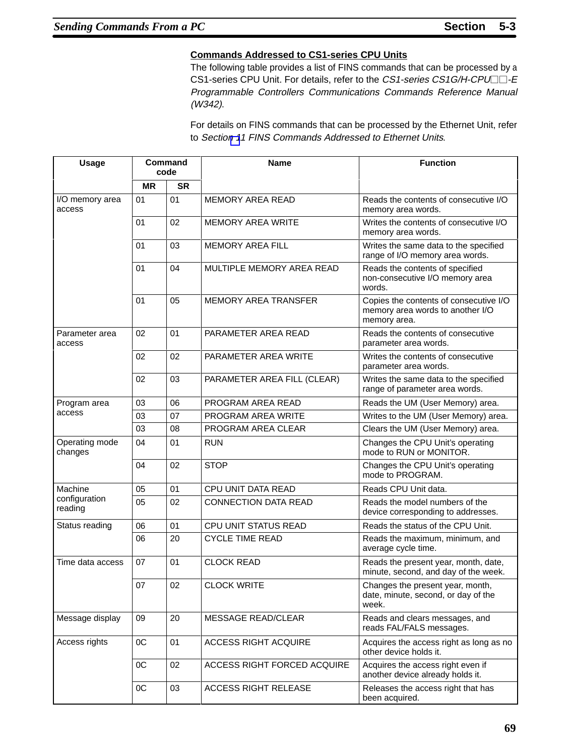## **Commands Addressed to CS1-series CPU Units**

The following table provides a list of FINS commands that can be processed by a CS1-series CPU Unit. For details, refer to the CS1-series CS1G/H-CPU<sup>-</sup>E Programmable Controllers Communications Commands Reference Manual (W342).

For details on FINS commands that can be processed by the Ethernet Unit, refer to Sectio[n 1](#page-0-0)1 FINS Commands Addressed to Ethernet Units.

| <b>Usage</b>              | Command<br>code |           | <b>Name</b>                        | <b>Function</b>                                                                            |  |
|---------------------------|-----------------|-----------|------------------------------------|--------------------------------------------------------------------------------------------|--|
|                           | <b>MR</b>       | <b>SR</b> |                                    |                                                                                            |  |
| I/O memory area<br>access | 01              | 01        | MEMORY AREA READ                   | Reads the contents of consecutive I/O<br>memory area words.                                |  |
|                           | 01              | 02        | <b>MEMORY AREA WRITE</b>           | Writes the contents of consecutive I/O<br>memory area words.                               |  |
|                           | 01              | 03        | <b>MEMORY AREA FILL</b>            | Writes the same data to the specified<br>range of I/O memory area words.                   |  |
|                           | 01              | 04        | MULTIPLE MEMORY AREA READ          | Reads the contents of specified<br>non-consecutive I/O memory area<br>words.               |  |
|                           | 01              | 05        | <b>MEMORY AREA TRANSFER</b>        | Copies the contents of consecutive I/O<br>memory area words to another I/O<br>memory area. |  |
| Parameter area<br>access  | 02              | 01        | PARAMETER AREA READ                | Reads the contents of consecutive<br>parameter area words.                                 |  |
|                           | 02              | 02        | PARAMETER AREA WRITE               | Writes the contents of consecutive<br>parameter area words.                                |  |
|                           | 02              | 03        | PARAMETER AREA FILL (CLEAR)        | Writes the same data to the specified<br>range of parameter area words.                    |  |
| Program area              | 03              | 06        | PROGRAM AREA READ                  | Reads the UM (User Memory) area.                                                           |  |
| access                    | 03              | 07        | PROGRAM AREA WRITE                 | Writes to the UM (User Memory) area.                                                       |  |
|                           | 03              | 08        | PROGRAM AREA CLEAR                 | Clears the UM (User Memory) area.                                                          |  |
| Operating mode<br>changes | 04              | 01        | <b>RUN</b>                         | Changes the CPU Unit's operating<br>mode to RUN or MONITOR.                                |  |
|                           | 04              | 02        | <b>STOP</b>                        | Changes the CPU Unit's operating<br>mode to PROGRAM.                                       |  |
| Machine                   | 05              | 01        | CPU UNIT DATA READ                 | Reads CPU Unit data.                                                                       |  |
| configuration<br>reading  | 05              | 02        | <b>CONNECTION DATA READ</b>        | Reads the model numbers of the<br>device corresponding to addresses.                       |  |
| Status reading            | 06              | 01        | CPU UNIT STATUS READ               | Reads the status of the CPU Unit.                                                          |  |
|                           | 06              | 20        | <b>CYCLE TIME READ</b>             | Reads the maximum, minimum, and<br>average cycle time.                                     |  |
| Time data access          | 07              | 01        | <b>CLOCK READ</b>                  | Reads the present year, month, date,<br>minute, second, and day of the week.               |  |
|                           | 07              | 02        | <b>CLOCK WRITE</b>                 | Changes the present year, month,<br>date, minute, second, or day of the<br>week.           |  |
| Message display           | 09              | 20        | <b>MESSAGE READ/CLEAR</b>          | Reads and clears messages, and<br>reads FAL/FALS messages.                                 |  |
| Access rights             | $_{0C}$         | 01        | <b>ACCESS RIGHT ACQUIRE</b>        | Acquires the access right as long as no<br>other device holds it.                          |  |
|                           | $_{0C}$         | 02        | <b>ACCESS RIGHT FORCED ACQUIRE</b> | Acquires the access right even if<br>another device already holds it.                      |  |
|                           | $_{0C}$         | 03        | <b>ACCESS RIGHT RELEASE</b>        | Releases the access right that has<br>been acquired.                                       |  |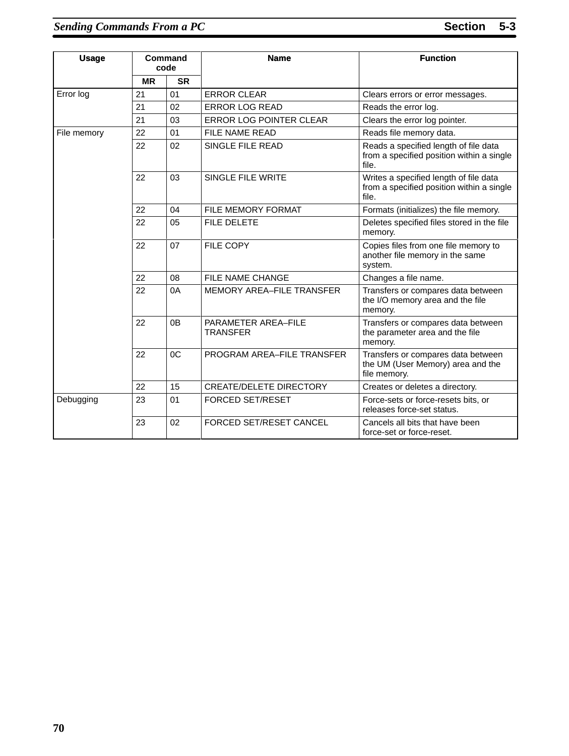| <b>Usage</b> |           | Command<br>code | <b>Name</b>                            | <b>Function</b>                                                                              |
|--------------|-----------|-----------------|----------------------------------------|----------------------------------------------------------------------------------------------|
|              | <b>MR</b> | <b>SR</b>       |                                        |                                                                                              |
| Error log    | 21        | 01              | <b>ERROR CLEAR</b>                     | Clears errors or error messages.                                                             |
|              | 21        | 02              | <b>ERROR LOG READ</b>                  | Reads the error log.                                                                         |
|              | 21        | 03              | <b>ERROR LOG POINTER CLEAR</b>         | Clears the error log pointer.                                                                |
| File memory  | 22        | 01              | <b>FILE NAME READ</b>                  | Reads file memory data.                                                                      |
|              | 22        | 02              | SINGLE FILE READ                       | Reads a specified length of file data<br>from a specified position within a single<br>file.  |
|              | 22        | 03              | SINGLE FILE WRITE                      | Writes a specified length of file data<br>from a specified position within a single<br>file. |
|              | 22        | 04              | FILE MEMORY FORMAT                     | Formats (initializes) the file memory.                                                       |
|              | 22        | 05              | FILE DELETE                            | Deletes specified files stored in the file<br>memory.                                        |
|              | 22        | 07              | FILE COPY                              | Copies files from one file memory to<br>another file memory in the same<br>system.           |
|              | 22        | 08              | <b>FILE NAME CHANGE</b>                | Changes a file name.                                                                         |
|              | 22        | 0A              | MEMORY AREA-FILE TRANSFER              | Transfers or compares data between<br>the I/O memory area and the file<br>memory.            |
|              | 22        | 0 <sub>B</sub>  | PARAMETER AREA-FILE<br><b>TRANSFER</b> | Transfers or compares data between<br>the parameter area and the file<br>memory.             |
|              | 22        | 0 <sub>C</sub>  | PROGRAM AREA-FILE TRANSFER             | Transfers or compares data between<br>the UM (User Memory) area and the<br>file memory.      |
|              | 22        | 15              | <b>CREATE/DELETE DIRECTORY</b>         | Creates or deletes a directory.                                                              |
| Debugging    | 23        | 01              | <b>FORCED SET/RESET</b>                | Force-sets or force-resets bits, or<br>releases force-set status.                            |
|              | 23        | 02              | FORCED SET/RESET CANCEL                | Cancels all bits that have been<br>force-set or force-reset.                                 |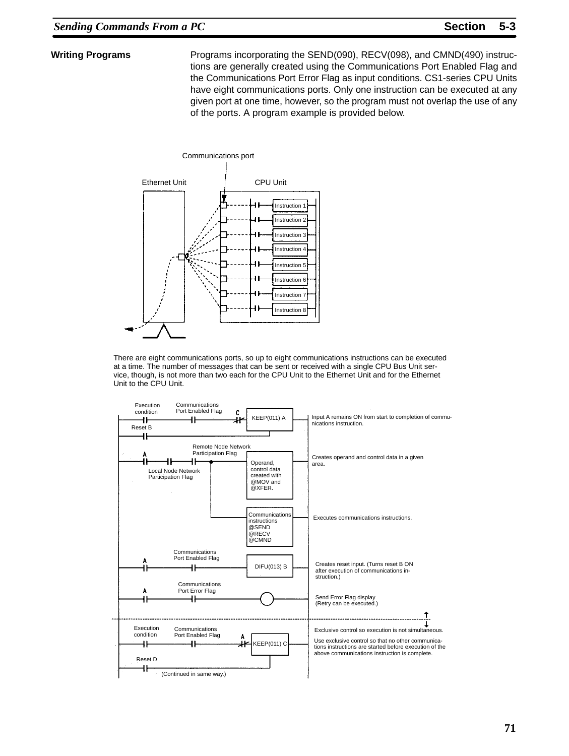### **Writing Programs**

Programs incorporating the SEND(090), RECV(098), and CMND(490) instructions are generally created using the Communications Port Enabled Flag and the Communications Port Error Flag as input conditions. CS1-series CPU Units have eight communications ports. Only one instruction can be executed at any given port at one time, however, so the program must not overlap the use of any of the ports. A program example is provided below.



There are eight communications ports, so up to eight communications instructions can be executed at a time. The number of messages that can be sent or received with a single CPU Bus Unit service, though, is not more than two each for the CPU Unit to the Ethernet Unit and for the Ethernet Unit to the CPU Unit.

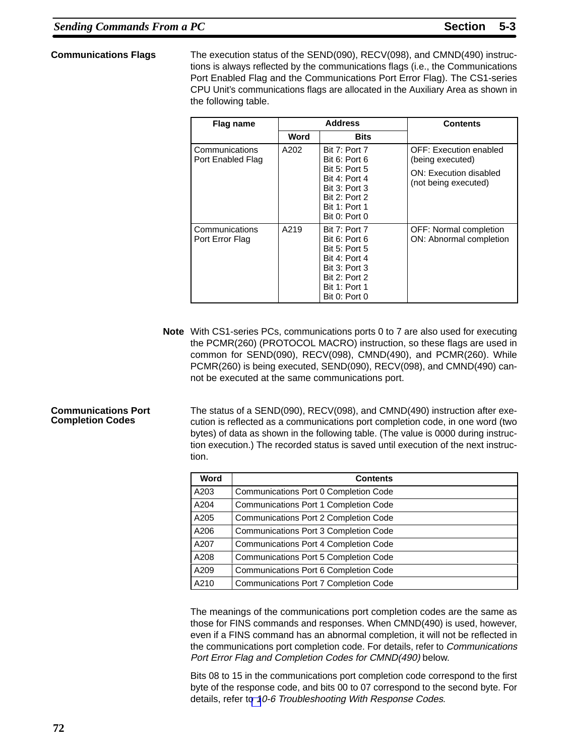### **Communications Flags**

The execution status of the SEND(090), RECV(098), and CMND(490) instructions is always reflected by the communications flags (i.e., the Communications Port Enabled Flag and the Communications Port Error Flag). The CS1-series CPU Unit's communications flags are allocated in the Auxiliary Area as shown in the following table.

| Flag name                           |      | <b>Address</b>                                                                                                                                            | <b>Contents</b>                                                                              |  |
|-------------------------------------|------|-----------------------------------------------------------------------------------------------------------------------------------------------------------|----------------------------------------------------------------------------------------------|--|
|                                     | Word | <b>Bits</b>                                                                                                                                               |                                                                                              |  |
| Communications<br>Port Enabled Flag | A202 | Bit 7: Port 7<br>Bit 6: Port 6<br><b>Bit 5: Port 5</b><br>Bit 4: Port 4<br><b>Bit 3: Port 3</b><br>Bit 2: Port 2<br><b>Bit 1: Port 1</b><br>Bit 0: Port 0 | OFF: Execution enabled<br>(being executed)<br>ON: Execution disabled<br>(not being executed) |  |
| Communications<br>Port Error Flag   | A219 | Bit 7: Port 7<br>Bit 6: Port 6<br><b>Bit 5: Port 5</b><br>Bit 4: Port 4<br>Bit 3: Port 3<br>Bit 2: Port 2<br><b>Bit 1: Port 1</b><br>Bit 0: Port 0        | <b>OFF: Normal completion</b><br>ON: Abnormal completion                                     |  |

**Note** With CS1-series PCs, communications ports 0 to 7 are also used for executing the PCMR(260) (PROTOCOL MACRO) instruction, so these flags are used in common for SEND(090), RECV(098), CMND(490), and PCMR(260). While PCMR(260) is being executed, SEND(090), RECV(098), and CMND(490) cannot be executed at the same communications port.

#### **Communications Port Completion Codes**

The status of a SEND(090), RECV(098), and CMND(490) instruction after execution is reflected as a communications port completion code, in one word (two bytes) of data as shown in the following table. (The value is 0000 during instruction execution.) The recorded status is saved until execution of the next instruction.

| Word | <b>Contents</b>                       |
|------|---------------------------------------|
| A203 | Communications Port 0 Completion Code |
| A204 | Communications Port 1 Completion Code |
| A205 | Communications Port 2 Completion Code |
| A206 | Communications Port 3 Completion Code |
| A207 | Communications Port 4 Completion Code |
| A208 | Communications Port 5 Completion Code |
| A209 | Communications Port 6 Completion Code |
| A210 | Communications Port 7 Completion Code |

The meanings of the communications port completion codes are the same as those for FINS commands and responses. When CMND(490) is used, however, even if a FINS command has an abnormal completion, it will not be reflected in the communications port completion code. For details, refer to Communications Port Error Flag and Completion Codes for CMND(490) below.

Bits 08 to 15 in the communications port completion code correspond to the first byte of the response code, and bits 00 to 07 correspond to the second byte. For details, refer t[o](#page-15-0) 10-6 Troubleshooting With Response Codes.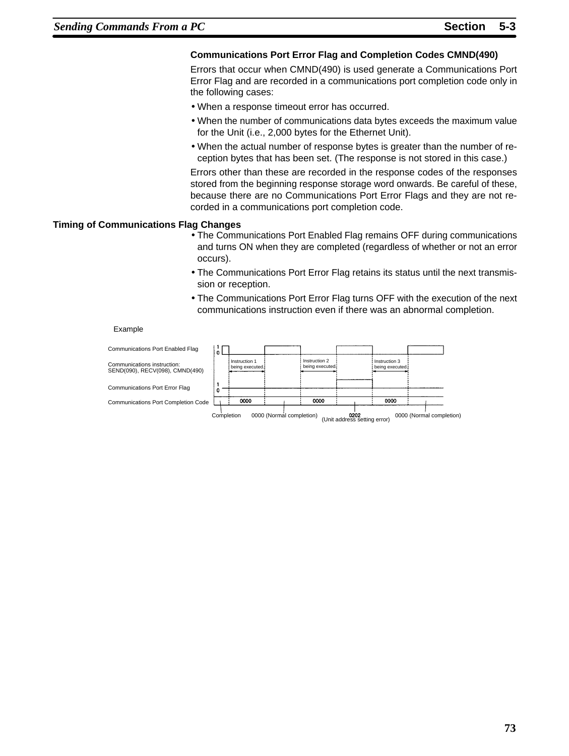## **Communications Port Error Flag and Completion Codes CMND(490)**

Errors that occur when CMND(490) is used generate a Communications Port Error Flag and are recorded in a communications port completion code only in the following cases:

- When a response timeout error has occurred.
- When the number of communications data bytes exceeds the maximum value for the Unit (i.e., 2,000 bytes for the Ethernet Unit).
- When the actual number of response bytes is greater than the number of reception bytes that has been set. (The response is not stored in this case.)

Errors other than these are recorded in the response codes of the responses stored from the beginning response storage word onwards. Be careful of these, because there are no Communications Port Error Flags and they are not recorded in a communications port completion code.

#### **Timing of Communications Flag Changes**

- The Communications Port Enabled Flag remains OFF during communications and turns ON when they are completed (regardless of whether or not an error occurs).
- The Communications Port Error Flag retains its status until the next transmission or reception.
- The Communications Port Error Flag turns OFF with the execution of the next communications instruction even if there was an abnormal completion.

#### Example

| Communications Port Enabled Flag                               |            |                                  |                          |                                  |                                      |                                  |                          |
|----------------------------------------------------------------|------------|----------------------------------|--------------------------|----------------------------------|--------------------------------------|----------------------------------|--------------------------|
| Communications instruction:<br>SEND(090), RECV(098), CMND(490) |            | Instruction 1<br>being executed. |                          | Instruction 2<br>being executed. |                                      | Instruction 3<br>being executed. |                          |
| <b>Communications Port Error Flag</b>                          |            |                                  |                          |                                  |                                      |                                  |                          |
| Communications Port Completion Code                            |            | 0000                             |                          | 0000                             |                                      | 0000                             |                          |
|                                                                | Completion |                                  | 0000 (Normal completion) |                                  | 0202<br>(Unit address setting error) |                                  | 0000 (Normal completion) |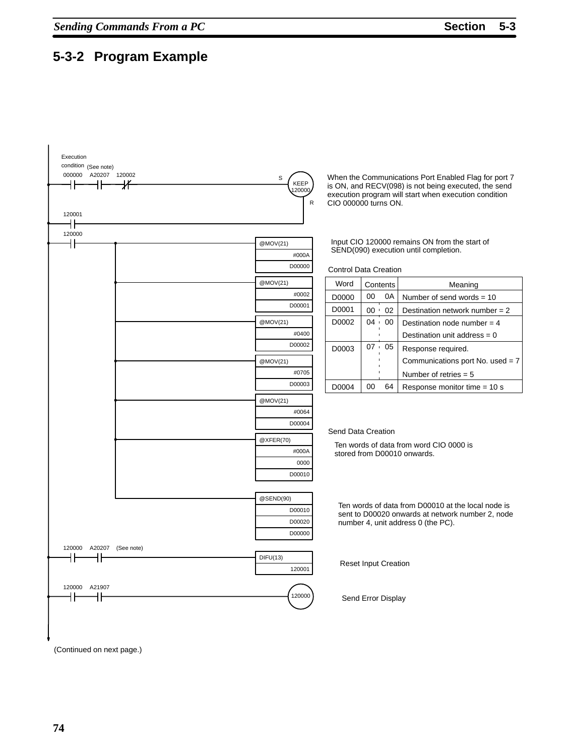# <span id="page-13-0"></span>**5-3-2 Program Example**



(Continued on next page.)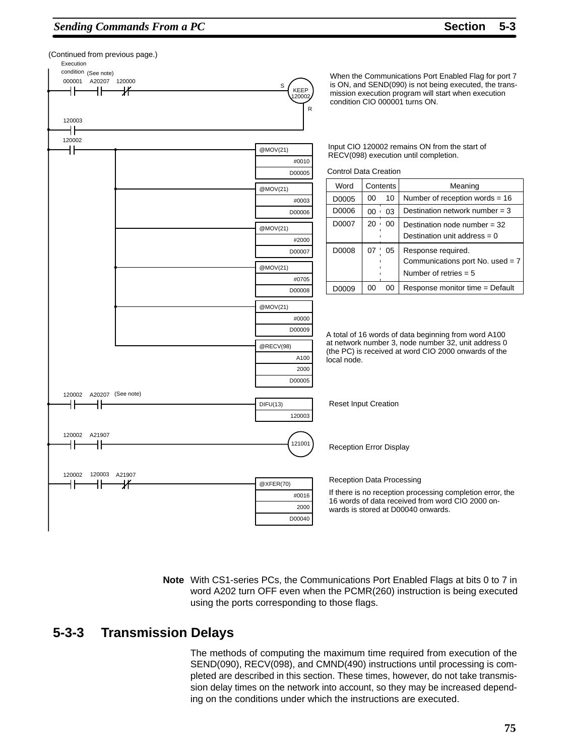## **Sending Commands From a PC Section 5-3**



**Note** With CS1-series PCs, the Communications Port Enabled Flags at bits 0 to 7 in word A202 turn OFF even when the PCMR(260) instruction is being executed using the ports corresponding to those flags.

## **5-3-3 Transmission Delays**

The methods of computing the maximum time required from execution of the SEND(090), RECV(098), and CMND(490) instructions until processing is completed are described in this section. These times, however, do not take transmission delay times on the network into account, so they may be increased depending on the conditions under which the instructions are executed.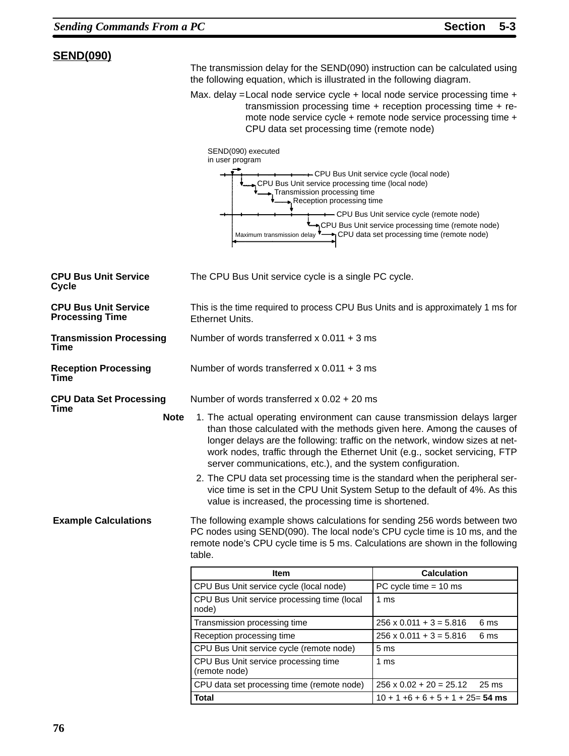## <span id="page-15-0"></span>**SEND(090)**

The transmission delay for the SEND(090) instruction can be calculated using the following equation, which is illustrated in the following diagram.

Max. delay = Local node service cycle + local node service processing time + transmission processing time + reception processing time + remote node service cycle + remote node service processing time + CPU data set processing time (remote node)



| <b>CPU Bus Unit Service</b><br>Cycle                  | The CPU Bus Unit service cycle is a single PC cycle.                                                                                                                                                                                                                                                                                                                                                                                                                                                                                                                                                                                                                                                                                                                                                                                                             |                                                    |  |  |  |
|-------------------------------------------------------|------------------------------------------------------------------------------------------------------------------------------------------------------------------------------------------------------------------------------------------------------------------------------------------------------------------------------------------------------------------------------------------------------------------------------------------------------------------------------------------------------------------------------------------------------------------------------------------------------------------------------------------------------------------------------------------------------------------------------------------------------------------------------------------------------------------------------------------------------------------|----------------------------------------------------|--|--|--|
| <b>CPU Bus Unit Service</b><br><b>Processing Time</b> | This is the time required to process CPU Bus Units and is approximately 1 ms for<br>Ethernet Units.                                                                                                                                                                                                                                                                                                                                                                                                                                                                                                                                                                                                                                                                                                                                                              |                                                    |  |  |  |
| <b>Transmission Processing</b><br><b>Time</b>         | Number of words transferred x $0.011 + 3$ ms                                                                                                                                                                                                                                                                                                                                                                                                                                                                                                                                                                                                                                                                                                                                                                                                                     |                                                    |  |  |  |
| <b>Reception Processing</b><br>Time                   | Number of words transferred $x$ 0.011 + 3 ms                                                                                                                                                                                                                                                                                                                                                                                                                                                                                                                                                                                                                                                                                                                                                                                                                     |                                                    |  |  |  |
| <b>CPU Data Set Processing</b>                        | Number of words transferred $x$ 0.02 + 20 ms                                                                                                                                                                                                                                                                                                                                                                                                                                                                                                                                                                                                                                                                                                                                                                                                                     |                                                    |  |  |  |
| Time<br><b>Note</b><br><b>Example Calculations</b>    | 1. The actual operating environment can cause transmission delays larger<br>than those calculated with the methods given here. Among the causes of<br>longer delays are the following: traffic on the network, window sizes at net-<br>work nodes, traffic through the Ethernet Unit (e.g., socket servicing, FTP<br>server communications, etc.), and the system configuration.<br>2. The CPU data set processing time is the standard when the peripheral ser-<br>vice time is set in the CPU Unit System Setup to the default of 4%. As this<br>value is increased, the processing time is shortened.<br>The following example shows calculations for sending 256 words between two<br>PC nodes using SEND(090). The local node's CPU cycle time is 10 ms, and the<br>remote node's CPU cycle time is 5 ms. Calculations are shown in the following<br>table. |                                                    |  |  |  |
|                                                       | <b>Item</b>                                                                                                                                                                                                                                                                                                                                                                                                                                                                                                                                                                                                                                                                                                                                                                                                                                                      | <b>Calculation</b>                                 |  |  |  |
|                                                       | CPU Bus Unit service cycle (local node)                                                                                                                                                                                                                                                                                                                                                                                                                                                                                                                                                                                                                                                                                                                                                                                                                          | PC cycle time $= 10$ ms                            |  |  |  |
|                                                       | CPU Bus Unit service processing time (local<br>node)                                                                                                                                                                                                                                                                                                                                                                                                                                                                                                                                                                                                                                                                                                                                                                                                             | 1 ms                                               |  |  |  |
|                                                       | Transmission processing time                                                                                                                                                                                                                                                                                                                                                                                                                                                                                                                                                                                                                                                                                                                                                                                                                                     | $256 \times 0.011 + 3 = 5.816$<br>6 ms             |  |  |  |
|                                                       | Reception processing time                                                                                                                                                                                                                                                                                                                                                                                                                                                                                                                                                                                                                                                                                                                                                                                                                                        | $256 \times 0.011 + 3 = 5.816$<br>6 ms             |  |  |  |
|                                                       | CPU Bus Unit service cycle (remote node)                                                                                                                                                                                                                                                                                                                                                                                                                                                                                                                                                                                                                                                                                                                                                                                                                         | 5 <sub>ms</sub>                                    |  |  |  |
|                                                       | CPU Bus Unit service processing time<br>(remote node)                                                                                                                                                                                                                                                                                                                                                                                                                                                                                                                                                                                                                                                                                                                                                                                                            | 1 ms                                               |  |  |  |
|                                                       | CPU data set processing time (remote node)                                                                                                                                                                                                                                                                                                                                                                                                                                                                                                                                                                                                                                                                                                                                                                                                                       | $256 \times 0.02 + 20 = 25.12$<br>25 <sub>ms</sub> |  |  |  |
|                                                       | <b>Total</b>                                                                                                                                                                                                                                                                                                                                                                                                                                                                                                                                                                                                                                                                                                                                                                                                                                                     | $10 + 1 + 6 + 6 + 5 + 1 + 25 = 54$ ms              |  |  |  |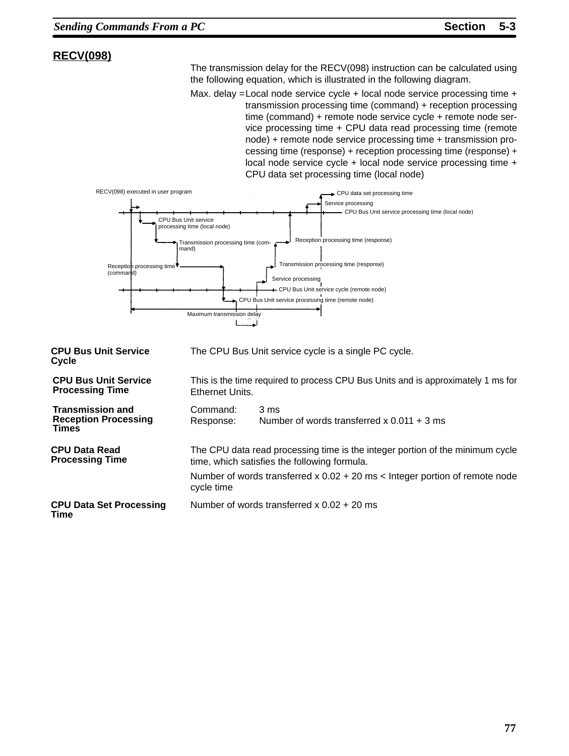## **RECV(098)**

The transmission delay for the RECV(098) instruction can be calculated using the following equation, which is illustrated in the following diagram.

Max. delay =Local node service cycle + local node service processing time + transmission processing time (command) + reception processing time (command) + remote node service cycle + remote node service processing time + CPU data read processing time (remote node) + remote node service processing time + transmission processing time (response) + reception processing time (response) + local node service cycle + local node service processing time + CPU data set processing time (local node)



| <b>CPU Bus Unit Service</b><br>Cycle                                   | The CPU Bus Unit service cycle is a single PC cycle.                                                |                                                                                                                               |  |  |
|------------------------------------------------------------------------|-----------------------------------------------------------------------------------------------------|-------------------------------------------------------------------------------------------------------------------------------|--|--|
| <b>CPU Bus Unit Service</b><br><b>Processing Time</b>                  | This is the time required to process CPU Bus Units and is approximately 1 ms for<br>Ethernet Units. |                                                                                                                               |  |  |
| <b>Transmission and</b><br><b>Reception Processing</b><br><b>Times</b> | Command:<br>3 ms<br>Number of words transferred x $0.011 + 3$ ms<br>Response:                       |                                                                                                                               |  |  |
| <b>CPU Data Read</b><br><b>Processing Time</b>                         |                                                                                                     | The CPU data read processing time is the integer portion of the minimum cycle<br>time, which satisfies the following formula. |  |  |
|                                                                        | Number of words transferred $x 0.02 + 20$ ms $\lt$ Integer portion of remote node<br>cycle time     |                                                                                                                               |  |  |
| <b>CPU Data Set Processing</b><br>Time                                 | Number of words transferred $x$ 0.02 + 20 ms                                                        |                                                                                                                               |  |  |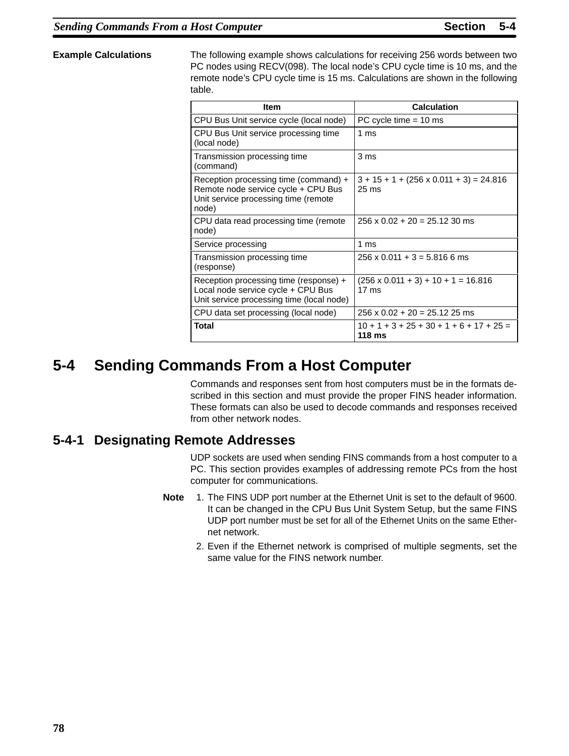<span id="page-17-0"></span>**Example Calculations** The following example shows calculations for receiving 256 words between two PC nodes using RECV(098). The local node's CPU cycle time is 10 ms, and the remote node's CPU cycle time is 15 ms. Calculations are shown in the following table.

| <b>Item</b>                                                                                                                   | <b>Calculation</b>                                                |
|-------------------------------------------------------------------------------------------------------------------------------|-------------------------------------------------------------------|
| CPU Bus Unit service cycle (local node)                                                                                       | PC cycle time $= 10$ ms                                           |
| CPU Bus Unit service processing time<br>(local node)                                                                          | 1 ms                                                              |
| Transmission processing time<br>(command)                                                                                     | 3 <sub>ms</sub>                                                   |
| Reception processing time (command) +<br>Remote node service cycle + CPU Bus<br>Unit service processing time (remote<br>node) | $3 + 15 + 1 + (256 \times 0.011 + 3) = 24.816$<br>$25 \text{ ms}$ |
| CPU data read processing time (remote<br>node)                                                                                | $256 \times 0.02 + 20 = 25.12$ 30 ms                              |
| Service processing                                                                                                            | 1 ms                                                              |
| Transmission processing time<br>(response)                                                                                    | $256 \times 0.011 + 3 = 5.816$ 6 ms                               |
| Reception processing time (response) +<br>Local node service cycle + CPU Bus<br>Unit service processing time (local node)     | $(256 \times 0.011 + 3) + 10 + 1 = 16.816$<br>$17 \text{ ms}$     |
| CPU data set processing (local node)                                                                                          | $256 \times 0.02 + 20 = 25.12$ 25 ms                              |
| Total                                                                                                                         | $10 + 1 + 3 + 25 + 30 + 1 + 6 + 17 + 25 =$<br>118 ms              |

# **5-4 Sending Commands From a Host Computer**

Commands and responses sent from host computers must be in the formats described in this section and must provide the proper FINS header information. These formats can also be used to decode commands and responses received from other network nodes.

## **5-4-1 Designating Remote Addresses**

UDP sockets are used when sending FINS commands from a host computer to a PC. This section provides examples of addressing remote PCs from the host computer for communications.

- **Note** 1. The FINS UDP port number at the Ethernet Unit is set to the default of 9600. It can be changed in the CPU Bus Unit System Setup, but the same FINS UDP port number must be set for all of the Ethernet Units on the same Ethernet network.
	- 2. Even if the Ethernet network is comprised of multiple segments, set the same value for the FINS network number.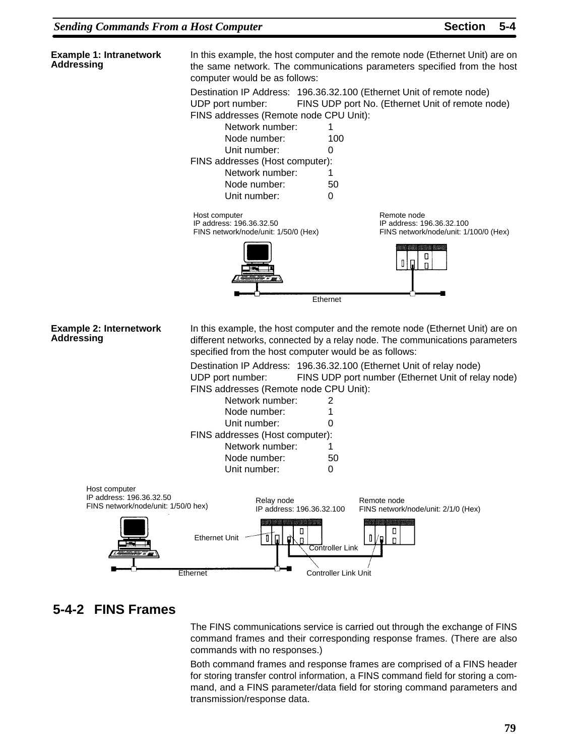<span id="page-18-0"></span>

The FINS communications service is carried out through the exchange of FINS command frames and their corresponding response frames. (There are also commands with no responses.)

Both command frames and response frames are comprised of a FINS header for storing transfer control information, a FINS command field for storing a command, and a FINS parameter/data field for storing command parameters and transmission/response data.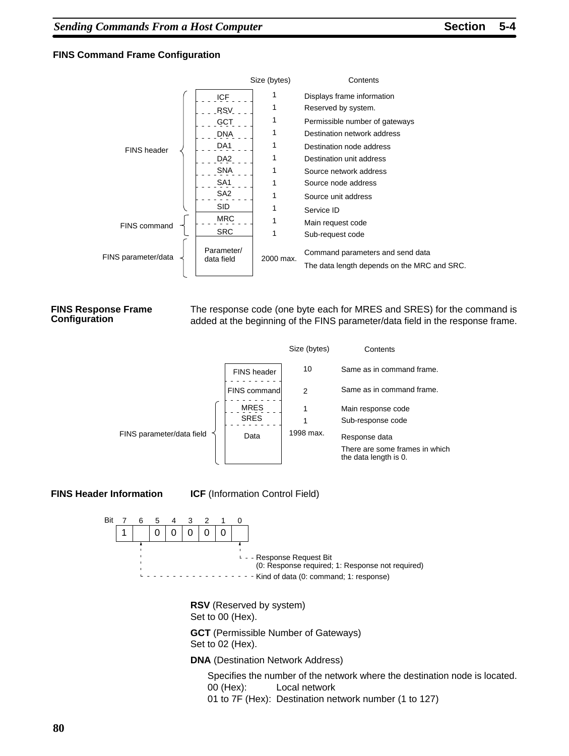### **FINS Command Frame Configuration**



#### **FINS Response Frame Configuration**

The response code (one byte each for MRES and SRES) for the command is added at the beginning of the FINS parameter/data field in the response frame.



**FINS Header Information**

**ICF** (Information Control Field)



**RSV** (Reserved by system) Set to 00 (Hex).

**GCT** (Permissible Number of Gateways) Set to 02 (Hex).

**DNA** (Destination Network Address)

Specifies the number of the network where the destination node is located. 00 (Hex): Local network 01 to 7F (Hex): Destination network number (1 to 127)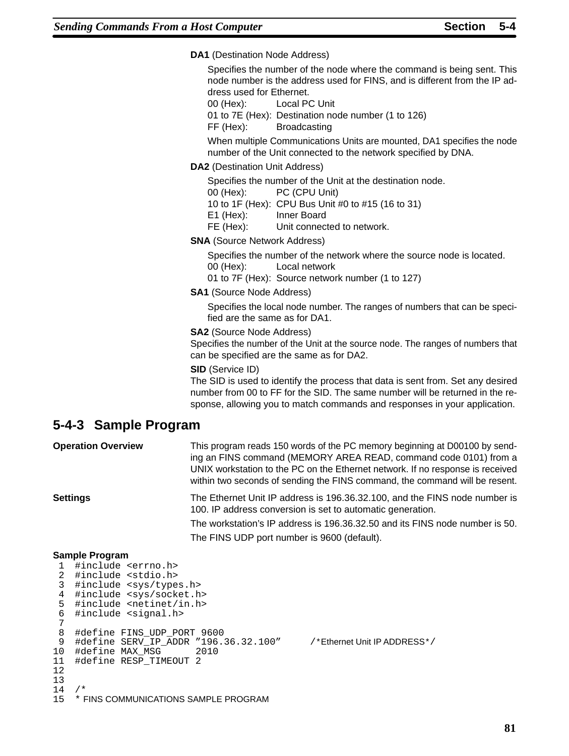<span id="page-20-0"></span>**DA1** (Destination Node Address)

Specifies the number of the node where the command is being sent. This node number is the address used for FINS, and is different from the IP address used for Ethernet.

00 (Hex): Local PC Unit

01 to 7E (Hex): Destination node number (1 to 126)

FF (Hex): Broadcasting

When multiple Communications Units are mounted, DA1 specifies the node number of the Unit connected to the network specified by DNA.

## **DA2** (Destination Unit Address)

Specifies the number of the Unit at the destination node.

- 00 (Hex): PC (CPU Unit)
- 10 to 1F (Hex): CPU Bus Unit #0 to #15 (16 to 31)

E1 (Hex): Inner Board

FE (Hex): Unit connected to network.

**SNA** (Source Network Address)

Specifies the number of the network where the source node is located. 00 (Hex): Local network

01 to 7F (Hex): Source network number (1 to 127)

**SA1** (Source Node Address)

Specifies the local node number. The ranges of numbers that can be specified are the same as for DA1.

#### **SA2** (Source Node Address)

Specifies the number of the Unit at the source node. The ranges of numbers that can be specified are the same as for DA2.

#### **SID** (Service ID)

The SID is used to identify the process that data is sent from. Set any desired number from 00 to FF for the SID. The same number will be returned in the response, allowing you to match commands and responses in your application.

## **5-4-3 Sample Program**

| <b>Operation Overview</b> | This program reads 150 words of the PC memory beginning at D00100 by send-<br>ing an FINS command (MEMORY AREA READ, command code 0101) from a<br>UNIX workstation to the PC on the Ethernet network. If no response is received<br>within two seconds of sending the FINS command, the command will be resent. |  |
|---------------------------|-----------------------------------------------------------------------------------------------------------------------------------------------------------------------------------------------------------------------------------------------------------------------------------------------------------------|--|
| Settings                  | The Ethernet Unit IP address is 196.36.32.100, and the FINS node number is<br>100. IP address conversion is set to automatic generation.                                                                                                                                                                        |  |
|                           | The workstation's IP address is 196.36.32.50 and its FINS node number is 50.                                                                                                                                                                                                                                    |  |
|                           | The FINS UDP port number is 9600 (default).                                                                                                                                                                                                                                                                     |  |

#### **Sample Program**

```
 1 #include <errno.h>
 2 #include <stdio.h><br>3 #include <sys/type
   #include <sys/types.h>
  4 #include <sys/socket.h>
  5 #include <netinet/in.h>
  6 #include <signal.h>
  7
  8 #define FINS_UDP_PORT 9600
 9 #define SERV_IP_ADDR "196.36.32.100" /*Ethernet Unit IP ADDRESS*/<br>0 #define MAX MSG 2010
10 #define MAX_MSG
11 #define RESP_TIMEOUT 2
12
13
14
15 * FINS COMMUNICATIONS SAMPLE PROGRAM
```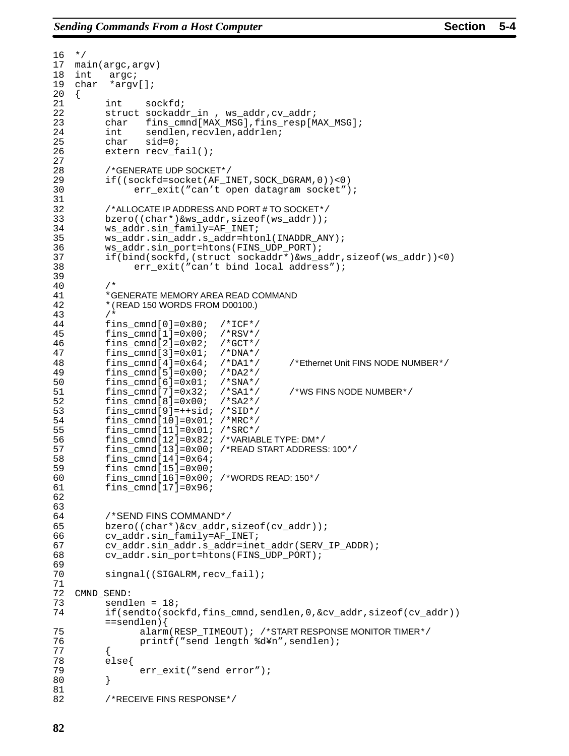```
16 */17 main(argc,argv)
18 int argc;
19 char *argv[];
\begin{matrix} 20 \\ 21 \end{matrix}int sockfd;
22 struct sockaddr in, ws addr, cv addr;
23 char fins_cmnd[MAX_MSG],fins_resp[MAX_MSG];
24 int sendlen,recvlen,addrlen;<br>25 char sid=0;
         char side0;26 extern recv_fail();
27
28 /*GENERATE UDP SOCKET*/
29 if((sockfd=socket(AF_INET,SOCK_DGRAM,0))<0)
30 err_exit("can't open datagram socket");
31<br>3232 /*ALLOCATE IP ADDRESS AND PORT # TO SOCKET*/<br>33 bzero ((char*)&ws_addr, sizeof(ws_addr));
         bzero((char*)&ws_addr,sizeof(ws_addr));
34 ws_addr.sin_family=AF_INET;
35 ws_addr.sin_addr.s_addr=htonl(INADDR_ANY);
36 ws_addr.sin_port=htons(FINS_UDP_PORT);
         37 if(bind(sockfd,(struct sockaddr*)&ws_addr,sizeof(ws_addr))<0)
38 err_exit("can't bind local address");
39
40 /*
41 *GENERATE MEMORY AREA READ COMMAND
42 *(READ 150 WORDS FROM D00100.)
43 /*<br>44 fii
         fins\_cmd[0]=0x80; /*ICF*/
45 fins_cmnd[1]=0x00; /*RSV*/
46 fins_cmnd[2]=0 \times 02;47 fins_cmnd[3]=0x01; /*DNA*/
48 fins_cmnd[4]=0x64; /*DA1*/ /*Ethernet Unit FINS NODE NUMBER*/
49 fins_cmnd[5]=0x00; /*DA2*/
50 fins_cmnd[6]=0x01; /*SNA*/<br>51 fins_cmnd[7]=0x32; /*SA1*/
                                         /*WS FINS NODE NUMBER*/
52 fins cmnd[8]=0x00; /*SA2*/
53 fins_cmnd[9]=++sid; /*SID*/
54 fins_cmnd[10]=0x01; /*MRC*/
55 fins_cmnd[11]=0x01; /*SRC*/<br>56 fins cmnd[12]=0x82; /*VARIAE
         56 fins_cmnd[12]=0x82; /*VARIABLE TYPE: DM*/
57 fins_cmnd[13]=0x00; /*READ START ADDRESS: 100*/
         fins_cmnd[14]=0x64;59 fins_cmnd[15]=0x00;
60 fins_cmnd[16]=0x00; /*WORDS READ: 150*/
61 fins_cmnd[17]=0x96;
62
63
64 /*SEND FINS COMMAND*/
65 bzero((char*)&cv_addr,sizeof(cv_addr));
66 cv_addr.sin_family=AF_INET;
67 cv_addr.sin_addr.s_addr=inet_addr(SERV_IP_ADDR);
68 cv_addr.sin_port=htons(FINS_UDP_PORT);
69<br>70
         singnal((SIGALRM,recv fail);
71
72 CMND_SEND:<br>73 sendl
73 sendlen = 18;<br>74 if(sendto(soc
         if(sendto(sockfd,fins_cmnd,sendlen,0,&cv_addr,sizeof(cv_addr))
         ==sendlen){
75 alarm(RESP_TIMEOUT); /*START RESPONSE MONITOR TIMER*/
76 printf("send length %d¥n",sendlen);
77 {
78 else{
               err_exit("send error");
80 }
81
82 /*RECEIVE FINS RESPONSE*/
```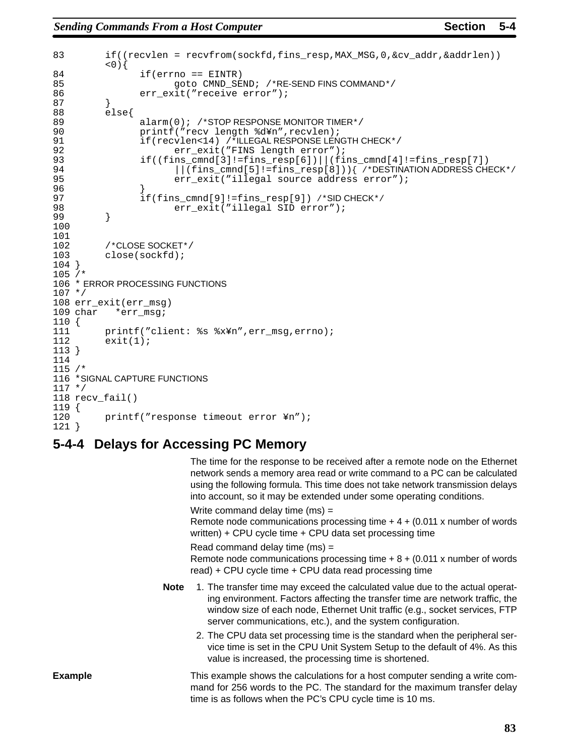```
83 if((recvlen = recvfrom(sockfd,fins_resp,MAX_MSG,0,&cv_addr,&addrlen))
          < 0) {
84 if(errno == EINTR)<br>85 anto CMND SE
85 goto CMND_SEND; /*RE-SEND FINS COMMAND*/<br>86 err exit("receive error");
                 err_exit("receive error");
87 }
88 else{
89 alarm(0); /*STOP RESPONSE MONITOR TIMER*/<br>90 printf("recy length %d\im", recylen);
90 printf("recv length %d¥n", recvlen);<br>91 if(recvlen<14) /*ILLEGAL RESPONSE LEN
91 if(recvlen<14) /*ILLEGAL RESPONSE LENGTH CHECK*/<br>92 err exit("FINS length error");
                        err_exit("FINS length error");
93 if((fins_cmnd[3]!=fins_resp[6])||(fins_cmnd[4]!=fins_resp[7])
94 ||(fins_cmnd[5]!=fins_resp[8])){ /*DESTINATION ADDRESS CHECK*/
                        err_exit("illegal source address error");
96 }
97 if(fins_cmnd[9]!=fins_resp[9]) /*SID CHECK*/<br>98 err exit("illegal SID error");
          err_exit("illegal SID error");<br>}
99 }
100
101<br>102
          /*CLOSE SOCKET*/
103 close(sockfd);
104 }
105 /*
106 * ERROR PROCESSING FUNCTIONS
107 */
108 err_exit(err_msg)
109 char *err msg;
110 {
111 printf("client: %s %x¥n", err_msg, errno);<br>112 exit(1);
          exit(1);113 }
114
115 /*
116 *SIGNAL CAPTURE FUNCTIONS
117 */
118 recv_fail()
119 {
120 printf("response timeout error ¥n");
121 }
```
## **5-4-4 Delays for Accessing PC Memory**

The time for the response to be received after a remote node on the Ethernet network sends a memory area read or write command to a PC can be calculated using the following formula. This time does not take network transmission delays into account, so it may be extended under some operating conditions.

Write command delay time (ms) =

Remote node communications processing time  $+4+(0.011)x$  number of words written) + CPU cycle time + CPU data set processing time

Read command delay time (ms) =

Remote node communications processing time  $+ 8 + (0.011 \times$  number of words read) + CPU cycle time + CPU data read processing time

- **Note** 1. The transfer time may exceed the calculated value due to the actual operating environment. Factors affecting the transfer time are network traffic, the window size of each node, Ethernet Unit traffic (e.g., socket services, FTP server communications, etc.), and the system configuration.
	- 2. The CPU data set processing time is the standard when the peripheral service time is set in the CPU Unit System Setup to the default of 4%. As this value is increased, the processing time is shortened.

This example shows the calculations for a host computer sending a write command for 256 words to the PC. The standard for the maximum transfer delay time is as follows when the PC's CPU cycle time is 10 ms. **Example**